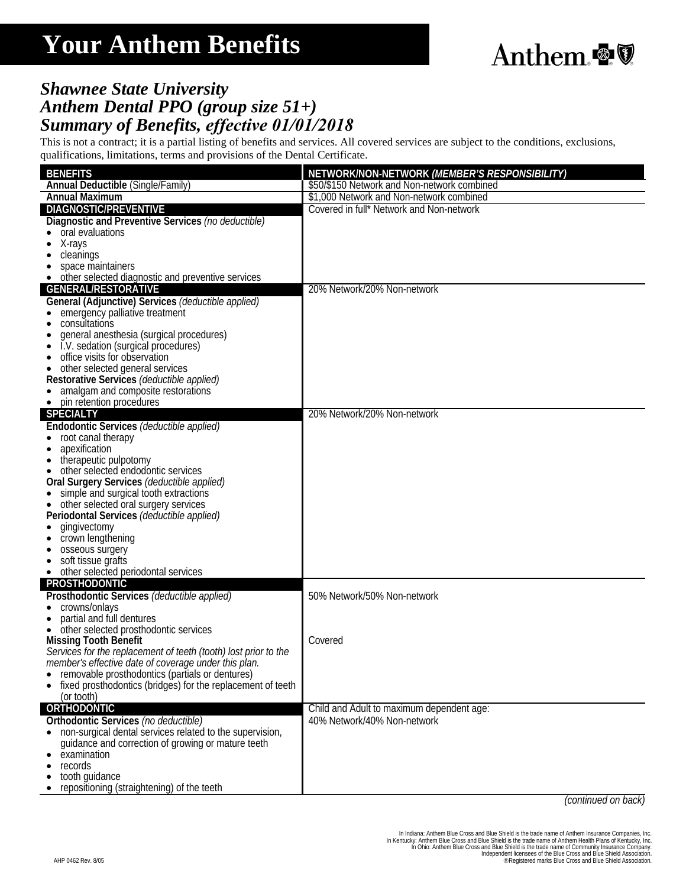## **Your Anthem Benefits**



## *Shawnee State University Anthem Dental PPO (group size 51+) Summary of Benefits, effective 01/01/2018*

This is not a contract; it is a partial listing of benefits and services. All covered services are subject to the conditions, exclusions, qualifications, limitations, terms and provisions of the Dental Certificate.

| \$50/\$150 Network and Non-network combined<br><b>Annual Deductible (Single/Family)</b><br>\$1,000 Network and Non-network combined<br><b>Annual Maximum</b><br>DIAGNOSTIC/PREVENTIVE<br>Covered in full* Network and Non-network<br>Diagnostic and Preventive Services (no deductible)<br>oral evaluations<br>X-rays<br>cleanings<br>space maintainers<br>other selected diagnostic and preventive services<br><b>GENERAL/RESTORATIVE</b><br>20% Network/20% Non-network<br>General (Adjunctive) Services (deductible applied)<br>emergency palliative treatment<br>consultations<br>general anesthesia (surgical procedures)<br>I.V. sedation (surgical procedures)<br>office visits for observation<br>other selected general services<br>Restorative Services (deductible applied)<br>amalgam and composite restorations<br>pin retention procedures<br><b>SPECIALTY</b><br>20% Network/20% Non-network<br>Endodontic Services (deductible applied)<br>root canal therapy<br>apexification<br>therapeutic pulpotomy<br>other selected endodontic services<br>Oral Surgery Services (deductible applied)<br>simple and surgical tooth extractions<br>• other selected oral surgery services<br>Periodontal Services (deductible applied)<br>gingivectomy<br>crown lengthening<br>osseous surgery<br>soft tissue grafts<br>$\bullet$<br>other selected periodontal services<br>$\bullet$<br><b>PROSTHODONTIC</b><br>Prosthodontic Services (deductible applied)<br>50% Network/50% Non-network<br>crowns/onlays<br>partial and full dentures<br>• other selected prosthodontic services<br><b>Missing Tooth Benefit</b><br>Covered<br>Services for the replacement of teeth (tooth) lost prior to the<br>member's effective date of coverage under this plan.<br>removable prosthodontics (partials or dentures)<br>fixed prosthodontics (bridges) for the replacement of teeth<br>(or tooth)<br><b>ORTHODONTIC</b><br>Child and Adult to maximum dependent age:<br>Orthodontic Services (no deductible)<br>40% Network/40% Non-network<br>• non-surgical dental services related to the supervision,<br>guidance and correction of growing or mature teeth<br>examination<br>records |                 |                                               |
|-----------------------------------------------------------------------------------------------------------------------------------------------------------------------------------------------------------------------------------------------------------------------------------------------------------------------------------------------------------------------------------------------------------------------------------------------------------------------------------------------------------------------------------------------------------------------------------------------------------------------------------------------------------------------------------------------------------------------------------------------------------------------------------------------------------------------------------------------------------------------------------------------------------------------------------------------------------------------------------------------------------------------------------------------------------------------------------------------------------------------------------------------------------------------------------------------------------------------------------------------------------------------------------------------------------------------------------------------------------------------------------------------------------------------------------------------------------------------------------------------------------------------------------------------------------------------------------------------------------------------------------------------------------------------------------------------------------------------------------------------------------------------------------------------------------------------------------------------------------------------------------------------------------------------------------------------------------------------------------------------------------------------------------------------------------------------------------------------------------------------------------------------------------------------------------------|-----------------|-----------------------------------------------|
|                                                                                                                                                                                                                                                                                                                                                                                                                                                                                                                                                                                                                                                                                                                                                                                                                                                                                                                                                                                                                                                                                                                                                                                                                                                                                                                                                                                                                                                                                                                                                                                                                                                                                                                                                                                                                                                                                                                                                                                                                                                                                                                                                                                         | <b>BENEFITS</b> | NETWORK/NON-NETWORK (MEMBER'S RESPONSIBILITY) |
|                                                                                                                                                                                                                                                                                                                                                                                                                                                                                                                                                                                                                                                                                                                                                                                                                                                                                                                                                                                                                                                                                                                                                                                                                                                                                                                                                                                                                                                                                                                                                                                                                                                                                                                                                                                                                                                                                                                                                                                                                                                                                                                                                                                         |                 |                                               |
|                                                                                                                                                                                                                                                                                                                                                                                                                                                                                                                                                                                                                                                                                                                                                                                                                                                                                                                                                                                                                                                                                                                                                                                                                                                                                                                                                                                                                                                                                                                                                                                                                                                                                                                                                                                                                                                                                                                                                                                                                                                                                                                                                                                         |                 |                                               |
|                                                                                                                                                                                                                                                                                                                                                                                                                                                                                                                                                                                                                                                                                                                                                                                                                                                                                                                                                                                                                                                                                                                                                                                                                                                                                                                                                                                                                                                                                                                                                                                                                                                                                                                                                                                                                                                                                                                                                                                                                                                                                                                                                                                         |                 |                                               |
|                                                                                                                                                                                                                                                                                                                                                                                                                                                                                                                                                                                                                                                                                                                                                                                                                                                                                                                                                                                                                                                                                                                                                                                                                                                                                                                                                                                                                                                                                                                                                                                                                                                                                                                                                                                                                                                                                                                                                                                                                                                                                                                                                                                         |                 |                                               |
|                                                                                                                                                                                                                                                                                                                                                                                                                                                                                                                                                                                                                                                                                                                                                                                                                                                                                                                                                                                                                                                                                                                                                                                                                                                                                                                                                                                                                                                                                                                                                                                                                                                                                                                                                                                                                                                                                                                                                                                                                                                                                                                                                                                         |                 |                                               |
|                                                                                                                                                                                                                                                                                                                                                                                                                                                                                                                                                                                                                                                                                                                                                                                                                                                                                                                                                                                                                                                                                                                                                                                                                                                                                                                                                                                                                                                                                                                                                                                                                                                                                                                                                                                                                                                                                                                                                                                                                                                                                                                                                                                         |                 |                                               |
|                                                                                                                                                                                                                                                                                                                                                                                                                                                                                                                                                                                                                                                                                                                                                                                                                                                                                                                                                                                                                                                                                                                                                                                                                                                                                                                                                                                                                                                                                                                                                                                                                                                                                                                                                                                                                                                                                                                                                                                                                                                                                                                                                                                         |                 |                                               |
|                                                                                                                                                                                                                                                                                                                                                                                                                                                                                                                                                                                                                                                                                                                                                                                                                                                                                                                                                                                                                                                                                                                                                                                                                                                                                                                                                                                                                                                                                                                                                                                                                                                                                                                                                                                                                                                                                                                                                                                                                                                                                                                                                                                         |                 |                                               |
|                                                                                                                                                                                                                                                                                                                                                                                                                                                                                                                                                                                                                                                                                                                                                                                                                                                                                                                                                                                                                                                                                                                                                                                                                                                                                                                                                                                                                                                                                                                                                                                                                                                                                                                                                                                                                                                                                                                                                                                                                                                                                                                                                                                         |                 |                                               |
|                                                                                                                                                                                                                                                                                                                                                                                                                                                                                                                                                                                                                                                                                                                                                                                                                                                                                                                                                                                                                                                                                                                                                                                                                                                                                                                                                                                                                                                                                                                                                                                                                                                                                                                                                                                                                                                                                                                                                                                                                                                                                                                                                                                         |                 |                                               |
|                                                                                                                                                                                                                                                                                                                                                                                                                                                                                                                                                                                                                                                                                                                                                                                                                                                                                                                                                                                                                                                                                                                                                                                                                                                                                                                                                                                                                                                                                                                                                                                                                                                                                                                                                                                                                                                                                                                                                                                                                                                                                                                                                                                         |                 |                                               |
|                                                                                                                                                                                                                                                                                                                                                                                                                                                                                                                                                                                                                                                                                                                                                                                                                                                                                                                                                                                                                                                                                                                                                                                                                                                                                                                                                                                                                                                                                                                                                                                                                                                                                                                                                                                                                                                                                                                                                                                                                                                                                                                                                                                         |                 |                                               |
|                                                                                                                                                                                                                                                                                                                                                                                                                                                                                                                                                                                                                                                                                                                                                                                                                                                                                                                                                                                                                                                                                                                                                                                                                                                                                                                                                                                                                                                                                                                                                                                                                                                                                                                                                                                                                                                                                                                                                                                                                                                                                                                                                                                         |                 |                                               |
|                                                                                                                                                                                                                                                                                                                                                                                                                                                                                                                                                                                                                                                                                                                                                                                                                                                                                                                                                                                                                                                                                                                                                                                                                                                                                                                                                                                                                                                                                                                                                                                                                                                                                                                                                                                                                                                                                                                                                                                                                                                                                                                                                                                         |                 |                                               |
|                                                                                                                                                                                                                                                                                                                                                                                                                                                                                                                                                                                                                                                                                                                                                                                                                                                                                                                                                                                                                                                                                                                                                                                                                                                                                                                                                                                                                                                                                                                                                                                                                                                                                                                                                                                                                                                                                                                                                                                                                                                                                                                                                                                         |                 |                                               |
|                                                                                                                                                                                                                                                                                                                                                                                                                                                                                                                                                                                                                                                                                                                                                                                                                                                                                                                                                                                                                                                                                                                                                                                                                                                                                                                                                                                                                                                                                                                                                                                                                                                                                                                                                                                                                                                                                                                                                                                                                                                                                                                                                                                         |                 |                                               |
|                                                                                                                                                                                                                                                                                                                                                                                                                                                                                                                                                                                                                                                                                                                                                                                                                                                                                                                                                                                                                                                                                                                                                                                                                                                                                                                                                                                                                                                                                                                                                                                                                                                                                                                                                                                                                                                                                                                                                                                                                                                                                                                                                                                         |                 |                                               |
|                                                                                                                                                                                                                                                                                                                                                                                                                                                                                                                                                                                                                                                                                                                                                                                                                                                                                                                                                                                                                                                                                                                                                                                                                                                                                                                                                                                                                                                                                                                                                                                                                                                                                                                                                                                                                                                                                                                                                                                                                                                                                                                                                                                         |                 |                                               |
|                                                                                                                                                                                                                                                                                                                                                                                                                                                                                                                                                                                                                                                                                                                                                                                                                                                                                                                                                                                                                                                                                                                                                                                                                                                                                                                                                                                                                                                                                                                                                                                                                                                                                                                                                                                                                                                                                                                                                                                                                                                                                                                                                                                         |                 |                                               |
|                                                                                                                                                                                                                                                                                                                                                                                                                                                                                                                                                                                                                                                                                                                                                                                                                                                                                                                                                                                                                                                                                                                                                                                                                                                                                                                                                                                                                                                                                                                                                                                                                                                                                                                                                                                                                                                                                                                                                                                                                                                                                                                                                                                         |                 |                                               |
|                                                                                                                                                                                                                                                                                                                                                                                                                                                                                                                                                                                                                                                                                                                                                                                                                                                                                                                                                                                                                                                                                                                                                                                                                                                                                                                                                                                                                                                                                                                                                                                                                                                                                                                                                                                                                                                                                                                                                                                                                                                                                                                                                                                         |                 |                                               |
|                                                                                                                                                                                                                                                                                                                                                                                                                                                                                                                                                                                                                                                                                                                                                                                                                                                                                                                                                                                                                                                                                                                                                                                                                                                                                                                                                                                                                                                                                                                                                                                                                                                                                                                                                                                                                                                                                                                                                                                                                                                                                                                                                                                         |                 |                                               |
|                                                                                                                                                                                                                                                                                                                                                                                                                                                                                                                                                                                                                                                                                                                                                                                                                                                                                                                                                                                                                                                                                                                                                                                                                                                                                                                                                                                                                                                                                                                                                                                                                                                                                                                                                                                                                                                                                                                                                                                                                                                                                                                                                                                         |                 |                                               |
|                                                                                                                                                                                                                                                                                                                                                                                                                                                                                                                                                                                                                                                                                                                                                                                                                                                                                                                                                                                                                                                                                                                                                                                                                                                                                                                                                                                                                                                                                                                                                                                                                                                                                                                                                                                                                                                                                                                                                                                                                                                                                                                                                                                         |                 |                                               |
|                                                                                                                                                                                                                                                                                                                                                                                                                                                                                                                                                                                                                                                                                                                                                                                                                                                                                                                                                                                                                                                                                                                                                                                                                                                                                                                                                                                                                                                                                                                                                                                                                                                                                                                                                                                                                                                                                                                                                                                                                                                                                                                                                                                         |                 |                                               |
|                                                                                                                                                                                                                                                                                                                                                                                                                                                                                                                                                                                                                                                                                                                                                                                                                                                                                                                                                                                                                                                                                                                                                                                                                                                                                                                                                                                                                                                                                                                                                                                                                                                                                                                                                                                                                                                                                                                                                                                                                                                                                                                                                                                         |                 |                                               |
|                                                                                                                                                                                                                                                                                                                                                                                                                                                                                                                                                                                                                                                                                                                                                                                                                                                                                                                                                                                                                                                                                                                                                                                                                                                                                                                                                                                                                                                                                                                                                                                                                                                                                                                                                                                                                                                                                                                                                                                                                                                                                                                                                                                         |                 |                                               |
|                                                                                                                                                                                                                                                                                                                                                                                                                                                                                                                                                                                                                                                                                                                                                                                                                                                                                                                                                                                                                                                                                                                                                                                                                                                                                                                                                                                                                                                                                                                                                                                                                                                                                                                                                                                                                                                                                                                                                                                                                                                                                                                                                                                         |                 |                                               |
|                                                                                                                                                                                                                                                                                                                                                                                                                                                                                                                                                                                                                                                                                                                                                                                                                                                                                                                                                                                                                                                                                                                                                                                                                                                                                                                                                                                                                                                                                                                                                                                                                                                                                                                                                                                                                                                                                                                                                                                                                                                                                                                                                                                         |                 |                                               |
|                                                                                                                                                                                                                                                                                                                                                                                                                                                                                                                                                                                                                                                                                                                                                                                                                                                                                                                                                                                                                                                                                                                                                                                                                                                                                                                                                                                                                                                                                                                                                                                                                                                                                                                                                                                                                                                                                                                                                                                                                                                                                                                                                                                         |                 |                                               |
|                                                                                                                                                                                                                                                                                                                                                                                                                                                                                                                                                                                                                                                                                                                                                                                                                                                                                                                                                                                                                                                                                                                                                                                                                                                                                                                                                                                                                                                                                                                                                                                                                                                                                                                                                                                                                                                                                                                                                                                                                                                                                                                                                                                         |                 |                                               |
|                                                                                                                                                                                                                                                                                                                                                                                                                                                                                                                                                                                                                                                                                                                                                                                                                                                                                                                                                                                                                                                                                                                                                                                                                                                                                                                                                                                                                                                                                                                                                                                                                                                                                                                                                                                                                                                                                                                                                                                                                                                                                                                                                                                         |                 |                                               |
|                                                                                                                                                                                                                                                                                                                                                                                                                                                                                                                                                                                                                                                                                                                                                                                                                                                                                                                                                                                                                                                                                                                                                                                                                                                                                                                                                                                                                                                                                                                                                                                                                                                                                                                                                                                                                                                                                                                                                                                                                                                                                                                                                                                         |                 |                                               |
|                                                                                                                                                                                                                                                                                                                                                                                                                                                                                                                                                                                                                                                                                                                                                                                                                                                                                                                                                                                                                                                                                                                                                                                                                                                                                                                                                                                                                                                                                                                                                                                                                                                                                                                                                                                                                                                                                                                                                                                                                                                                                                                                                                                         |                 |                                               |
|                                                                                                                                                                                                                                                                                                                                                                                                                                                                                                                                                                                                                                                                                                                                                                                                                                                                                                                                                                                                                                                                                                                                                                                                                                                                                                                                                                                                                                                                                                                                                                                                                                                                                                                                                                                                                                                                                                                                                                                                                                                                                                                                                                                         |                 |                                               |
|                                                                                                                                                                                                                                                                                                                                                                                                                                                                                                                                                                                                                                                                                                                                                                                                                                                                                                                                                                                                                                                                                                                                                                                                                                                                                                                                                                                                                                                                                                                                                                                                                                                                                                                                                                                                                                                                                                                                                                                                                                                                                                                                                                                         |                 |                                               |
|                                                                                                                                                                                                                                                                                                                                                                                                                                                                                                                                                                                                                                                                                                                                                                                                                                                                                                                                                                                                                                                                                                                                                                                                                                                                                                                                                                                                                                                                                                                                                                                                                                                                                                                                                                                                                                                                                                                                                                                                                                                                                                                                                                                         |                 |                                               |
|                                                                                                                                                                                                                                                                                                                                                                                                                                                                                                                                                                                                                                                                                                                                                                                                                                                                                                                                                                                                                                                                                                                                                                                                                                                                                                                                                                                                                                                                                                                                                                                                                                                                                                                                                                                                                                                                                                                                                                                                                                                                                                                                                                                         |                 |                                               |
|                                                                                                                                                                                                                                                                                                                                                                                                                                                                                                                                                                                                                                                                                                                                                                                                                                                                                                                                                                                                                                                                                                                                                                                                                                                                                                                                                                                                                                                                                                                                                                                                                                                                                                                                                                                                                                                                                                                                                                                                                                                                                                                                                                                         |                 |                                               |
|                                                                                                                                                                                                                                                                                                                                                                                                                                                                                                                                                                                                                                                                                                                                                                                                                                                                                                                                                                                                                                                                                                                                                                                                                                                                                                                                                                                                                                                                                                                                                                                                                                                                                                                                                                                                                                                                                                                                                                                                                                                                                                                                                                                         |                 |                                               |
|                                                                                                                                                                                                                                                                                                                                                                                                                                                                                                                                                                                                                                                                                                                                                                                                                                                                                                                                                                                                                                                                                                                                                                                                                                                                                                                                                                                                                                                                                                                                                                                                                                                                                                                                                                                                                                                                                                                                                                                                                                                                                                                                                                                         |                 |                                               |
|                                                                                                                                                                                                                                                                                                                                                                                                                                                                                                                                                                                                                                                                                                                                                                                                                                                                                                                                                                                                                                                                                                                                                                                                                                                                                                                                                                                                                                                                                                                                                                                                                                                                                                                                                                                                                                                                                                                                                                                                                                                                                                                                                                                         |                 |                                               |
|                                                                                                                                                                                                                                                                                                                                                                                                                                                                                                                                                                                                                                                                                                                                                                                                                                                                                                                                                                                                                                                                                                                                                                                                                                                                                                                                                                                                                                                                                                                                                                                                                                                                                                                                                                                                                                                                                                                                                                                                                                                                                                                                                                                         |                 |                                               |
|                                                                                                                                                                                                                                                                                                                                                                                                                                                                                                                                                                                                                                                                                                                                                                                                                                                                                                                                                                                                                                                                                                                                                                                                                                                                                                                                                                                                                                                                                                                                                                                                                                                                                                                                                                                                                                                                                                                                                                                                                                                                                                                                                                                         |                 |                                               |
|                                                                                                                                                                                                                                                                                                                                                                                                                                                                                                                                                                                                                                                                                                                                                                                                                                                                                                                                                                                                                                                                                                                                                                                                                                                                                                                                                                                                                                                                                                                                                                                                                                                                                                                                                                                                                                                                                                                                                                                                                                                                                                                                                                                         |                 |                                               |
|                                                                                                                                                                                                                                                                                                                                                                                                                                                                                                                                                                                                                                                                                                                                                                                                                                                                                                                                                                                                                                                                                                                                                                                                                                                                                                                                                                                                                                                                                                                                                                                                                                                                                                                                                                                                                                                                                                                                                                                                                                                                                                                                                                                         |                 |                                               |
|                                                                                                                                                                                                                                                                                                                                                                                                                                                                                                                                                                                                                                                                                                                                                                                                                                                                                                                                                                                                                                                                                                                                                                                                                                                                                                                                                                                                                                                                                                                                                                                                                                                                                                                                                                                                                                                                                                                                                                                                                                                                                                                                                                                         |                 |                                               |
|                                                                                                                                                                                                                                                                                                                                                                                                                                                                                                                                                                                                                                                                                                                                                                                                                                                                                                                                                                                                                                                                                                                                                                                                                                                                                                                                                                                                                                                                                                                                                                                                                                                                                                                                                                                                                                                                                                                                                                                                                                                                                                                                                                                         |                 |                                               |
|                                                                                                                                                                                                                                                                                                                                                                                                                                                                                                                                                                                                                                                                                                                                                                                                                                                                                                                                                                                                                                                                                                                                                                                                                                                                                                                                                                                                                                                                                                                                                                                                                                                                                                                                                                                                                                                                                                                                                                                                                                                                                                                                                                                         |                 |                                               |
| tooth guidance                                                                                                                                                                                                                                                                                                                                                                                                                                                                                                                                                                                                                                                                                                                                                                                                                                                                                                                                                                                                                                                                                                                                                                                                                                                                                                                                                                                                                                                                                                                                                                                                                                                                                                                                                                                                                                                                                                                                                                                                                                                                                                                                                                          |                 |                                               |
| repositioning (straightening) of the teeth                                                                                                                                                                                                                                                                                                                                                                                                                                                                                                                                                                                                                                                                                                                                                                                                                                                                                                                                                                                                                                                                                                                                                                                                                                                                                                                                                                                                                                                                                                                                                                                                                                                                                                                                                                                                                                                                                                                                                                                                                                                                                                                                              |                 |                                               |

*(continued on back)*